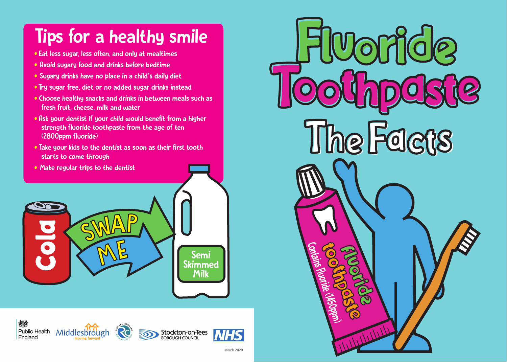### Tips for a healthy smile

- Eat less sugar, less often, and only at mealtimes
- Avoid sugary food and drinks before bedtime
- Sugary drinks have no place in a child's daily diet
- Try sugar free, diet or no added sugar drinks instead
- Choose healthy snacks and drinks in between meals such as fresh fruit, cheese, milk and water
- Ask your dentist if your child would benefit from a higher strength fluoride toothpaste from the age of ten (2800ppm fluoride)
- Take your kids to the dentist as soon as their first tooth starts to come through
- Make regular trips to the dentist